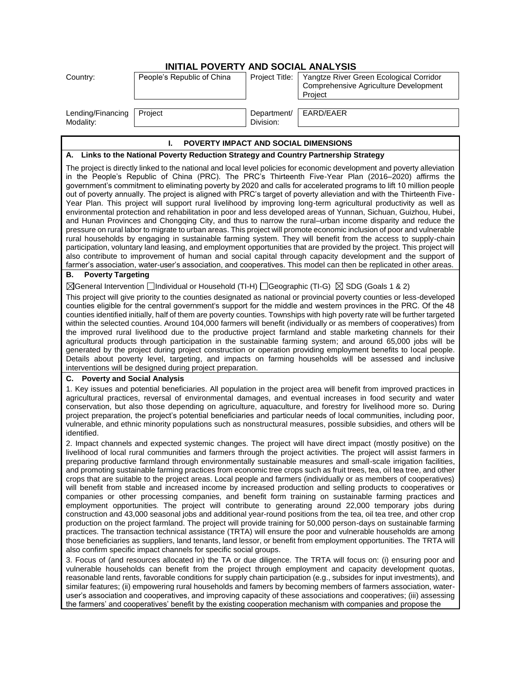# **INITIAL POVERTY AND SOCIAL ANALYSIS**

| Country:                       | People's Republic of China | Project Title:           | Yangtze River Green Ecological Corridor<br>Comprehensive Agriculture Development<br>Project |
|--------------------------------|----------------------------|--------------------------|---------------------------------------------------------------------------------------------|
| Lending/Financing<br>Modality: | Project                    | Department/<br>Division: | EARD/EAER                                                                                   |

#### **I. POVERTY IMPACT AND SOCIAL DIMENSIONS**

# **A. Links to the National Poverty Reduction Strategy and Country Partnership Strategy**

The project is directly linked to the national and local level policies for economic development and poverty alleviation in the People's Republic of China (PRC). The PRC's Thirteenth Five-Year Plan (2016–2020) affirms the government's commitment to eliminating poverty by 2020 and calls for accelerated programs to lift 10 million people out of poverty annually. The project is aligned with PRC's target of poverty alleviation and with the Thirteenth Five-Year Plan. This project will support rural livelihood by improving long-term agricultural productivity as well as environmental protection and rehabilitation in poor and less developed areas of Yunnan, Sichuan, Guizhou, Hubei, and Hunan Provinces and Chongqing City, and thus to narrow the rural–urban income disparity and reduce the pressure on rural labor to migrate to urban areas. This project will promote economic inclusion of poor and vulnerable rural households by engaging in sustainable farming system. They will benefit from the access to supply-chain participation, voluntary land leasing, and employment opportunities that are provided by the project. This project will also contribute to improvement of human and social capital through capacity development and the support of farmer's association, water-user's association, and cooperatives. This model can then be replicated in other areas.

# **B. Poverty Targeting**

 $\boxtimes$ General Intervention  $\Box$ Individual or Household (TI-H)  $\Box$ Geographic (TI-G)  $\boxtimes$  SDG (Goals 1 & 2)

This project will give priority to the counties designated as national or provincial poverty counties or less-developed counties eligible for the central government's support for the middle and western provinces in the PRC. Of the 48 counties identified initially, half of them are poverty counties. Townships with high poverty rate will be further targeted within the selected counties. Around 104,000 farmers will benefit (individually or as members of cooperatives) from the improved rural livelihood due to the productive project farmland and stable marketing channels for their agricultural products through participation in the sustainable farming system; and around 65,000 jobs will be generated by the project during project construction or operation providing employment benefits to local people. Details about poverty level, targeting, and impacts on farming households will be assessed and inclusive interventions will be designed during project preparation.

# **C. Poverty and Social Analysis**

1. Key issues and potential beneficiaries. All population in the project area will benefit from improved practices in agricultural practices, reversal of environmental damages, and eventual increases in food security and water conservation, but also those depending on agriculture, aquaculture, and forestry for livelihood more so. During project preparation, the project's potential beneficiaries and particular needs of local communities, including poor, vulnerable, and ethnic minority populations such as nonstructural measures, possible subsidies, and others will be identified.

2. Impact channels and expected systemic changes. The project will have direct impact (mostly positive) on the livelihood of local rural communities and farmers through the project activities. The project will assist farmers in preparing productive farmland through environmentally sustainable measures and small-scale irrigation facilities, and promoting sustainable farming practices from economic tree crops such as fruit trees, tea, oil tea tree, and other crops that are suitable to the project areas. Local people and farmers (individually or as members of cooperatives) will benefit from stable and increased income by increased production and selling products to cooperatives or companies or other processing companies, and benefit form training on sustainable farming practices and employment opportunities. The project will contribute to generating around 22,000 temporary jobs during construction and 43,000 seasonal jobs and additional year-round positions from the tea, oil tea tree, and other crop production on the project farmland. The project will provide training for 50,000 person-days on sustainable farming practices. The transaction technical assistance (TRTA) will ensure the poor and vulnerable households are among those beneficiaries as suppliers, land tenants, land lessor, or benefit from employment opportunities. The TRTA will also confirm specific impact channels for specific social groups.

3. Focus of (and resources allocated in) the TA or due diligence. The TRTA will focus on: (i) ensuring poor and vulnerable households can benefit from the project through employment and capacity development quotas, reasonable land rents, favorable conditions for supply chain participation (e.g., subsides for input investments), and similar features; (ii) empowering rural households and famers by becoming members of farmers association, wateruser's association and cooperatives, and improving capacity of these associations and cooperatives; (iii) assessing the farmers' and cooperatives' benefit by the existing cooperation mechanism with companies and propose the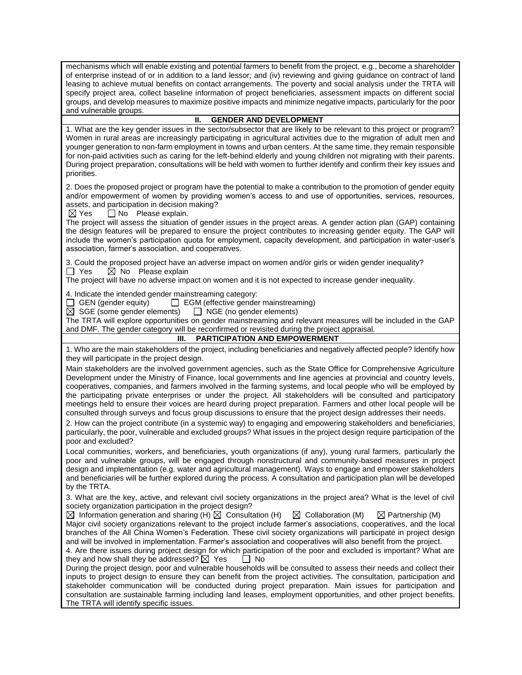mechanisms which will enable existing and potential farmers to benefit from the project, e.g., become a shareholder of enterprise instead of or in addition to a land lessor; and (iv) reviewing and giving guidance on contract of land leasing to achieve mutual benefits on contact arrangements. The poverty and social analysis under the TRTA will specify project area, collect baseline information of project beneficiaries, assessment impacts on different social groups, and develop measures to maximize positive impacts and minimize negative impacts, particularly for the poor and vulnerable groups.

#### **II. GENDER AND DEVELOPMENT**

1. What are the key gender issues in the sector/subsector that are likely to be relevant to this project or program? Women in rural areas are increasingly participating in agricultural activities due to the migration of adult men and younger generation to non-farm employment in towns and urban centers. At the same time, they remain responsible for non-paid activities such as caring for the left-behind elderly and young children not migrating with their parents. During project preparation, consultations will be held with women to further identify and confirm their key issues and priorities.

2. Does the proposed project or program have the potential to make a contribution to the promotion of gender equity and/or empowerment of women by providing women's access to and use of opportunities, services, resources, assets, and participation in decision making?

 $\boxtimes$  Yes  $\Box$  No Please explain.

The project will assess the situation of gender issues in the project areas. A gender action plan (GAP) containing the design features will be prepared to ensure the project contributes to increasing gender equity. The GAP will include the women's participation quota for employment, capacity development, and participation in water-user's association, farmer's association, and cooperatives.

3. Could the proposed project have an adverse impact on women and/or girls or widen gender inequality?  $\Box$  Yes  $\Box$  No Please explain

The project will have no adverse impact on women and it is not expected to increase gender inequality.

4. Indicate the intended gender mainstreaming category:

GEN (gender equity)  $\Box$  EGM (effective gender mainstreaming)  $\boxtimes$  SGE (some gender elements)  $\Box$  NGE (no gender elements)

 $\boxtimes$  SGE (some gender elements)

The TRTA will explore opportunities on gender mainstreaming and relevant measures will be included in the GAP and DMF. The gender category will be reconfirmed or revisited during the project appraisal.

#### **III. PARTICIPATION AND EMPOWERMENT**

1. Who are the main stakeholders of the project, including beneficiaries and negatively affected people? Identify how they will participate in the project design.

Main stakeholders are the involved government agencies, such as the State Office for Comprehensive Agriculture Development under the Ministry of Finance, local governments and line agencies at provincial and country levels, cooperatives, companies, and farmers involved in the farming systems, and local people who will be employed by the participating private enterprises or under the project. All stakeholders will be consulted and participatory meetings held to ensure their voices are heard during project preparation. Farmers and other local people will be consulted through surveys and focus group discussions to ensure that the project design addresses their needs.

2. How can the project contribute (in a systemic way) to engaging and empowering stakeholders and beneficiaries, particularly, the poor, vulnerable and excluded groups? What issues in the project design require participation of the poor and excluded?

Local communities, workers, and beneficiaries, youth organizations (if any), young rural farmers, particularly the poor and vulnerable groups, will be engaged through nonstructural and community-based measures in project design and implementation (e.g. water and agricultural management). Ways to engage and empower stakeholders and beneficiaries will be further explored during the process. A consultation and participation plan will be developed by the TRTA.

3. What are the key, active, and relevant civil society organizations in the project area? What is the level of civil society organization participation in the project design?

 $\boxtimes$  Information generation and sharing (H)  $\boxtimes$  Consultation (H)  $\boxtimes$  Collaboration (M)  $\boxtimes$  Partnership (M) Major civil society organizations relevant to the project include farmer's associations, cooperatives, and the local branches of the All China Women's Federation. These civil society organizations will participate in project design and will be involved in implementation. Farmer's association and cooperatives will also benefit from the project.

4. Are there issues during project design for which participation of the poor and excluded is important? What are they and how shall they be addressed?  $\boxtimes$  Yes  $\Box$  No

During the project design, poor and vulnerable households will be consulted to assess their needs and collect their inputs to project design to ensure they can benefit from the project activities. The consultation, participation and stakeholder communication will be conducted during project preparation. Main issues for participation and consultation are sustainable farming including land leases, employment opportunities, and other project benefits. The TRTA will identify specific issues.